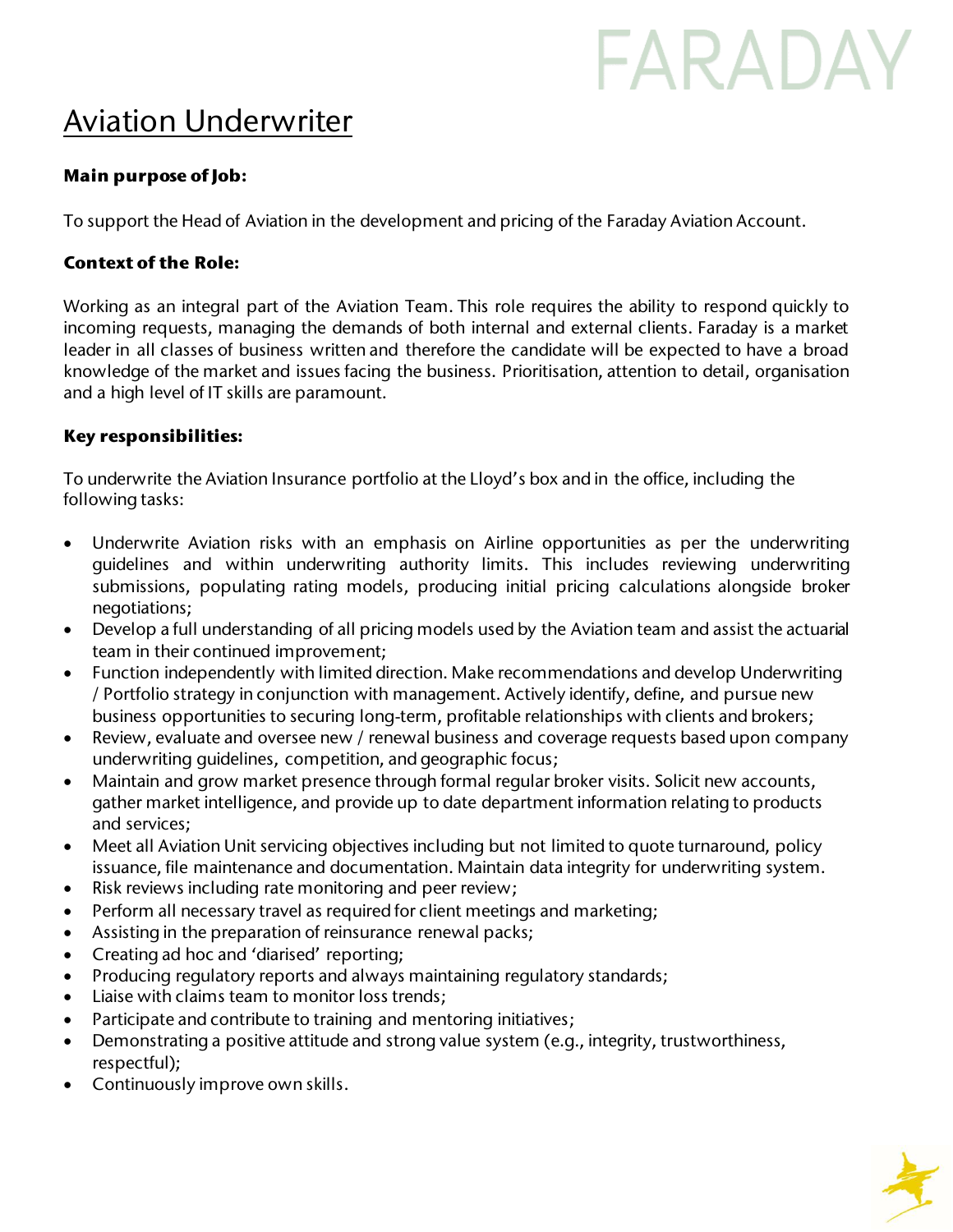# FARADAY

# Aviation Underwriter

## **Main purpose of Job:**

To support the Head of Aviation in the development and pricing of the Faraday Aviation Account.

#### **Context of the Role:**

Working as an integral part of the Aviation Team. This role requires the ability to respond quickly to incoming requests, managing the demands of both internal and external clients. Faraday is a market leader in all classes of business written and therefore the candidate will be expected to have a broad knowledge of the market and issues facing the business. Prioritisation, attention to detail, organisation and a high level of IT skills are paramount.

## **Key responsibilities:**

To underwrite the Aviation Insurance portfolio at the Lloyd's box and in the office, including the following tasks:

- Underwrite Aviation risks with an emphasis on Airline opportunities as per the underwriting guidelines and within underwriting authority limits. This includes reviewing underwriting submissions, populating rating models, producing initial pricing calculations alongside broker negotiations;
- Develop a full understanding of all pricing models used by the Aviation team and assist the actuarial team in their continued improvement;
- Function independently with limited direction. Make recommendations and develop Underwriting / Portfolio strategy in conjunction with management. Actively identify, define, and pursue new business opportunities to securing long-term, profitable relationships with clients and brokers;
- Review, evaluate and oversee new / renewal business and coverage requests based upon company underwriting guidelines, competition, and geographic focus;
- Maintain and grow market presence through formal regular broker visits. Solicit new accounts, gather market intelligence, and provide up to date department information relating to products and services;
- Meet all Aviation Unit servicing objectives including but not limited to quote turnaround, policy issuance, file maintenance and documentation. Maintain data integrity for underwriting system.
- Risk reviews including rate monitoring and peer review;
- Perform all necessary travel as required for client meetings and marketing;
- Assisting in the preparation of reinsurance renewal packs;
- Creating ad hoc and 'diarised' reporting;
- Producing regulatory reports and always maintaining regulatory standards;
- Liaise with claims team to monitor loss trends;
- Participate and contribute to training and mentoring initiatives;
- Demonstrating a positive attitude and strong value system (e.g., integrity, trustworthiness, respectful);
- Continuously improve own skills.